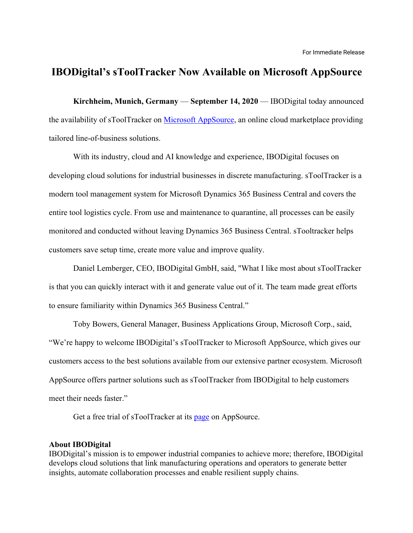## **IBODigital's sToolTracker Now Available on Microsoft AppSource**

**Kirchheim, Munich, Germany** — **September 14, 2020** — IBODigital today announced the availability of sToolTracker on Microsoft AppSource, an online cloud marketplace providing tailored line-of-business solutions.

With its industry, cloud and AI knowledge and experience, IBODigital focuses on developing cloud solutions for industrial businesses in discrete manufacturing. sToolTracker is a modern tool management system for Microsoft Dynamics 365 Business Central and covers the entire tool logistics cycle. From use and maintenance to quarantine, all processes can be easily monitored and conducted without leaving Dynamics 365 Business Central. sTooltracker helps customers save setup time, create more value and improve quality.

Daniel Lemberger, CEO, IBODigital GmbH, said, "What I like most about sToolTracker is that you can quickly interact with it and generate value out of it. The team made great efforts to ensure familiarity within Dynamics 365 Business Central."

Toby Bowers, General Manager, Business Applications Group, Microsoft Corp., said, "We're happy to welcome IBODigital's sToolTracker to Microsoft AppSource, which gives our customers access to the best solutions available from our extensive partner ecosystem. Microsoft AppSource offers partner solutions such as sToolTracker from IBODigital to help customers meet their needs faster."

Get a free trial of sToolTracker at its page on AppSource.

## **About IBODigital**

IBODigital's mission is to empower industrial companies to achieve more; therefore, IBODigital develops cloud solutions that link manufacturing operations and operators to generate better insights, automate collaboration processes and enable resilient supply chains.